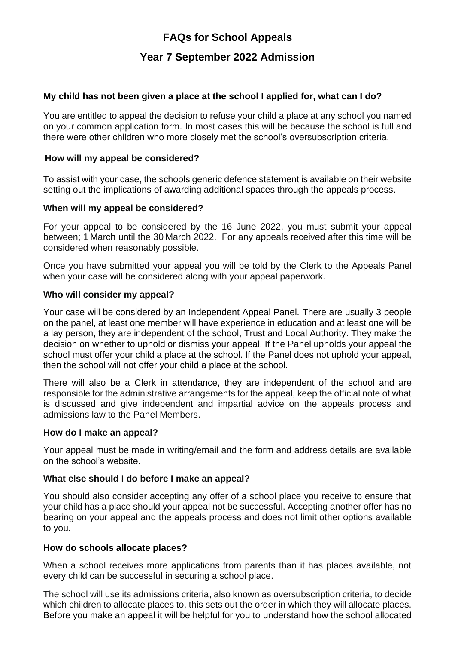# **FAQs for School Appeals**

# **Year 7 September 2022 Admission**

# **My child has not been given a place at the school I applied for, what can I do?**

You are entitled to appeal the decision to refuse your child a place at any school you named on your common application form. In most cases this will be because the school is full and there were other children who more closely met the school's oversubscription criteria.

# **How will my appeal be considered?**

To assist with your case, the schools generic defence statement is available on their website setting out the implications of awarding additional spaces through the appeals process.

#### **When will my appeal be considered?**

For your appeal to be considered by the 16 June 2022, you must submit your appeal between; 1 March until the 30 March 2022. For any appeals received after this time will be considered when reasonably possible.

Once you have submitted your appeal you will be told by the Clerk to the Appeals Panel when your case will be considered along with your appeal paperwork.

#### **Who will consider my appeal?**

Your case will be considered by an Independent Appeal Panel. There are usually 3 people on the panel, at least one member will have experience in education and at least one will be a lay person, they are independent of the school, Trust and Local Authority. They make the decision on whether to uphold or dismiss your appeal. If the Panel upholds your appeal the school must offer your child a place at the school. If the Panel does not uphold your appeal, then the school will not offer your child a place at the school.

There will also be a Clerk in attendance, they are independent of the school and are responsible for the administrative arrangements for the appeal, keep the official note of what is discussed and give independent and impartial advice on the appeals process and admissions law to the Panel Members.

#### **How do I make an appeal?**

Your appeal must be made in writing/email and the form and address details are available on the school's website.

# **What else should I do before I make an appeal?**

You should also consider accepting any offer of a school place you receive to ensure that your child has a place should your appeal not be successful. Accepting another offer has no bearing on your appeal and the appeals process and does not limit other options available to you.

#### **How do schools allocate places?**

When a school receives more applications from parents than it has places available, not every child can be successful in securing a school place.

The school will use its admissions criteria, also known as oversubscription criteria, to decide which children to allocate places to, this sets out the order in which they will allocate places. Before you make an appeal it will be helpful for you to understand how the school allocated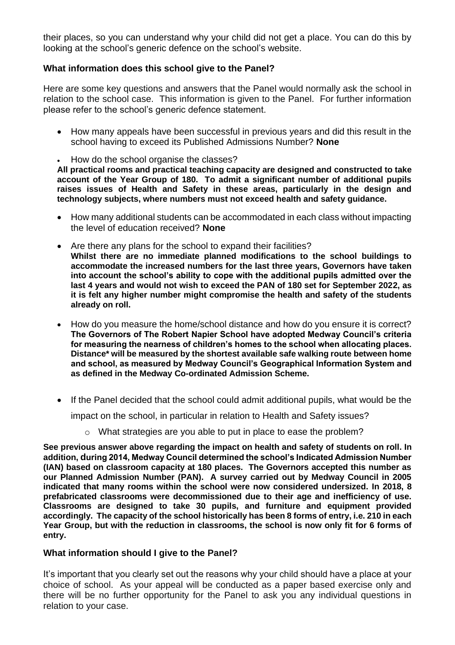their places, so you can understand why your child did not get a place. You can do this by looking at the school's generic defence on the school's website.

# **What information does this school give to the Panel?**

Here are some key questions and answers that the Panel would normally ask the school in relation to the school case. This information is given to the Panel. For further information please refer to the school's generic defence statement.

- How many appeals have been successful in previous years and did this result in the school having to exceed its Published Admissions Number? **None**
- How do the school organise the classes?

**All practical rooms and practical teaching capacity are designed and constructed to take account of the Year Group of 180. To admit a significant number of additional pupils raises issues of Health and Safety in these areas, particularly in the design and technology subjects, where numbers must not exceed health and safety guidance.** 

- How many additional students can be accommodated in each class without impacting the level of education received? **None**
- Are there any plans for the school to expand their facilities? **Whilst there are no immediate planned modifications to the school buildings to accommodate the increased numbers for the last three years, Governors have taken into account the school's ability to cope with the additional pupils admitted over the last 4 years and would not wish to exceed the PAN of 180 set for September 2022, as it is felt any higher number might compromise the health and safety of the students already on roll.**
- How do you measure the home/school distance and how do you ensure it is correct? **The Governors of The Robert Napier School have adopted Medway Council's criteria for measuring the nearness of children's homes to the school when allocating places. Distance\* will be measured by the shortest available safe walking route between home and school, as measured by Medway Council's Geographical Information System and as defined in the Medway Co-ordinated Admission Scheme.**
- If the Panel decided that the school could admit additional pupils, what would be the

impact on the school, in particular in relation to Health and Safety issues?

o What strategies are you able to put in place to ease the problem?

**See previous answer above regarding the impact on health and safety of students on roll. In addition, during 2014, Medway Council determined the school's Indicated Admission Number (IAN) based on classroom capacity at 180 places. The Governors accepted this number as our Planned Admission Number (PAN). A survey carried out by Medway Council in 2005 indicated that many rooms within the school were now considered undersized. In 2018, 8 prefabricated classrooms were decommissioned due to their age and inefficiency of use. Classrooms are designed to take 30 pupils, and furniture and equipment provided accordingly. The capacity of the school historically has been 8 forms of entry, i.e. 210 in each Year Group, but with the reduction in classrooms, the school is now only fit for 6 forms of entry.**

# **What information should I give to the Panel?**

It's important that you clearly set out the reasons why your child should have a place at your choice of school. As your appeal will be conducted as a paper based exercise only and there will be no further opportunity for the Panel to ask you any individual questions in relation to your case.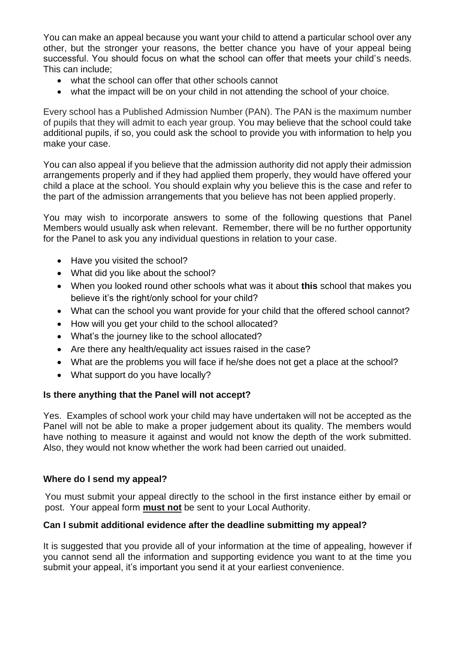You can make an appeal because you want your child to attend a particular school over any other, but the stronger your reasons, the better chance you have of your appeal being successful. You should focus on what the school can offer that meets your child's needs. This can include;

- what the school can offer that other schools cannot
- what the impact will be on your child in not attending the school of your choice.

Every school has a Published Admission Number (PAN). The PAN is the maximum number of pupils that they will admit to each year group. You may believe that the school could take additional pupils, if so, you could ask the school to provide you with information to help you make your case.

You can also appeal if you believe that the admission authority did not apply their admission arrangements properly and if they had applied them properly, they would have offered your child a place at the school. You should explain why you believe this is the case and refer to the part of the admission arrangements that you believe has not been applied properly.

You may wish to incorporate answers to some of the following questions that Panel Members would usually ask when relevant. Remember, there will be no further opportunity for the Panel to ask you any individual questions in relation to your case.

- Have you visited the school?
- What did you like about the school?
- When you looked round other schools what was it about **this** school that makes you believe it's the right/only school for your child?
- What can the school you want provide for your child that the offered school cannot?
- How will you get your child to the school allocated?
- What's the journey like to the school allocated?
- Are there any health/equality act issues raised in the case?
- What are the problems you will face if he/she does not get a place at the school?
- What support do you have locally?

# **Is there anything that the Panel will not accept?**

Yes. Examples of school work your child may have undertaken will not be accepted as the Panel will not be able to make a proper judgement about its quality. The members would have nothing to measure it against and would not know the depth of the work submitted. Also, they would not know whether the work had been carried out unaided.

# **Where do I send my appeal?**

You must submit your appeal directly to the school in the first instance either by email or post. Your appeal form **must not** be sent to your Local Authority.

# **Can I submit additional evidence after the deadline submitting my appeal?**

It is suggested that you provide all of your information at the time of appealing, however if you cannot send all the information and supporting evidence you want to at the time you submit your appeal, it's important you send it at your earliest convenience.